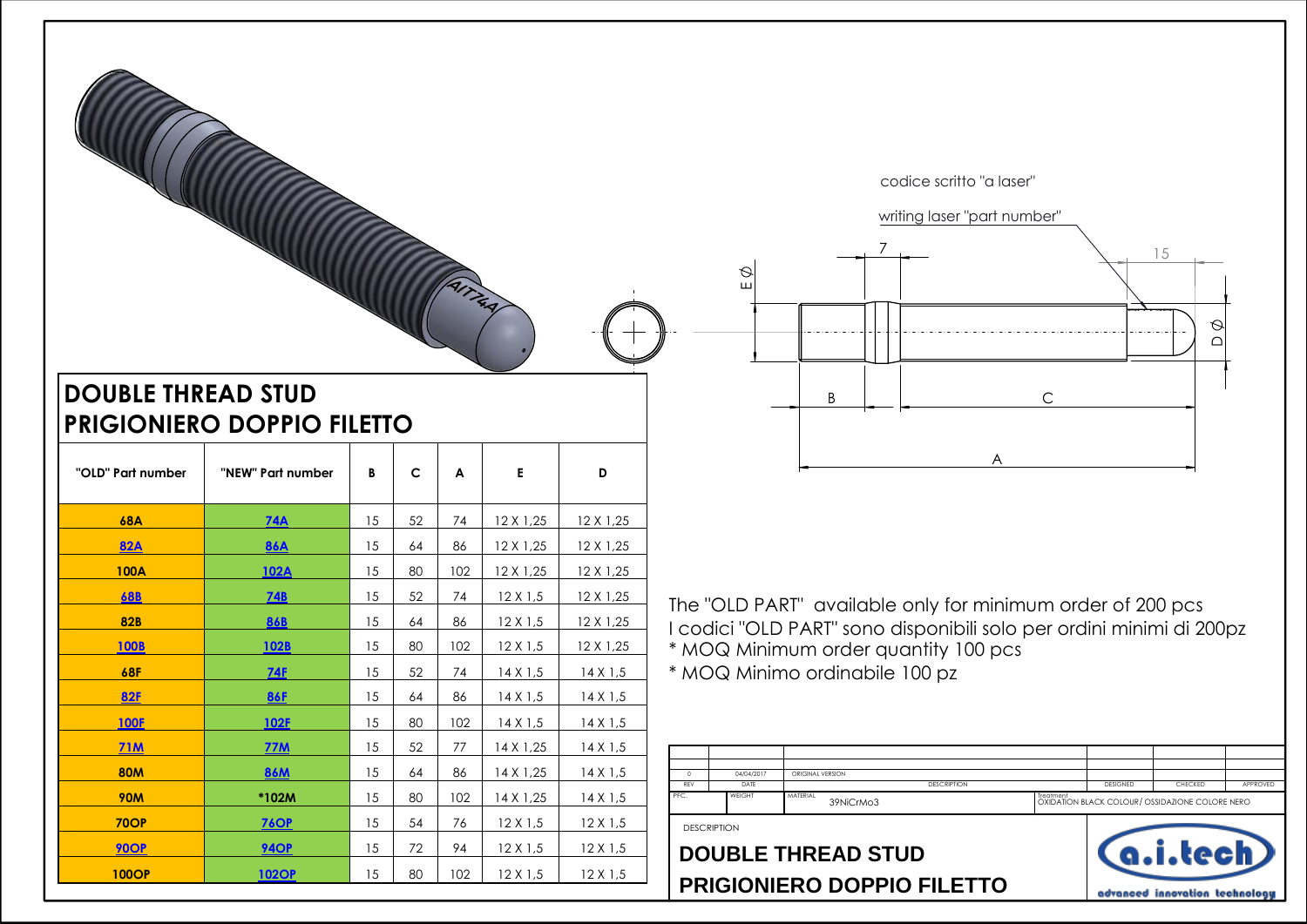

## **DOUBLE THREAD STUD PRIGIONIERO DOPPIO FILETTO**

| "OLD" Part number | "NEW" Part number | B  | $\mathsf{C}$ | A   | E               | D                |
|-------------------|-------------------|----|--------------|-----|-----------------|------------------|
| <b>68A</b>        | <b>74A</b>        | 15 | 52           | 74  | 12 X 1,25       | 12 X 1,25        |
| <b>82A</b>        | <b>86A</b>        | 15 | 64           | 86  | 12 X 1,25       | 12 X 1,25        |
| <b>100A</b>       | 102A              | 15 | 80           | 102 | 12 X 1,25       | 12 X 1,25        |
| <b>68B</b>        | <b>74B</b>        | 15 | 52           | 74  | $12 \times 1.5$ | 12 X 1,25        |
| <b>82B</b>        | <b>86B</b>        | 15 | 64           | 86  | $12 \times 1.5$ | 12 X 1,25        |
| <b>100B</b>       | 102B              | 15 | 80           | 102 | $12 \times 1.5$ | $12 \times 1,25$ |
| <b>68F</b>        | <b>74F</b>        | 15 | 52           | 74  | 14X1,5          | $14 \times 1.5$  |
| <b>82F</b>        | <b>86F</b>        | 15 | 64           | 86  | 14X1,5          | $14 \times 1.5$  |
| <b>100F</b>       | 102F              | 15 | 80           | 102 | $14 \times 1,5$ | $14 \times 1.5$  |
| <b>71M</b>        | <b>77M</b>        | 15 | 52           | 77  | 14 X 1,25       | $14 \times 1.5$  |
| <b>80M</b>        | <b>86M</b>        | 15 | 64           | 86  | 14 X 1,25       | $14 \times 1.5$  |
| <b>90M</b>        | *102M             | 15 | 80           | 102 | 14 X 1,25       | $14 \times 1.5$  |
| <b>70OP</b>       | <b>76OP</b>       | 15 | 54           | 76  | $12 \times 1.5$ | $12 \times 1.5$  |
| <b>90OP</b>       | <b>940P</b>       | 15 | 72           | 94  | $12 \times 1.5$ | $12 \times 1.5$  |
| <b>100OP</b>      | <b>102OP</b>      | 15 | 80           | 102 | $12 \times 1.5$ | $12 \times 1.5$  |

The "OLD PART" available only for minimum order of 200 pcs I codici "OLD PART" sono disponibili solo per ordini minimi di 200pz \* MOQ Minimum order quantity 100 pcs

\* MOQ Minimo ordinabile 100 pz

|      | 04/04/2017         | ORIGINAL VERSION      |                    |           |                 |                                                 |          |
|------|--------------------|-----------------------|--------------------|-----------|-----------------|-------------------------------------------------|----------|
| REV  | DATE               |                       | <b>DESCRIPTION</b> |           | <b>DESIGNED</b> | CHECKED                                         | APPROVED |
| PFC. | WEIGHT             | MATERIAL<br>39NiCrMo3 |                    | Treatment |                 | OXIDATION BLACK COLOUR/ OSSIDAZIONE COLORE NERO |          |
|      | <b>DESCRIPTION</b> |                       |                    |           |                 |                                                 |          |

## **PRIGIONIERO DOPPIO FILETTO DOUBLE THREAD STUD**

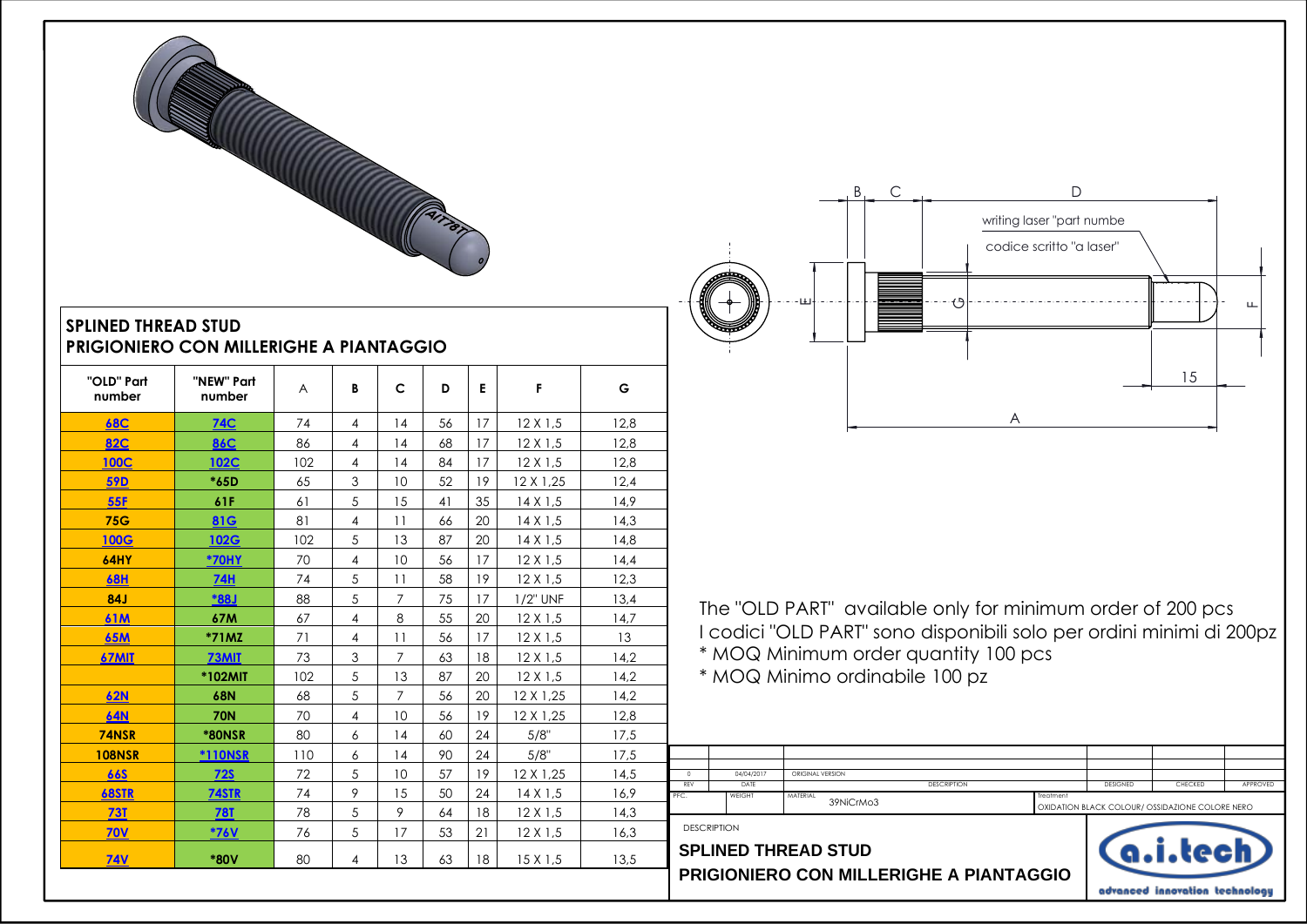

## **SPLINED THREAD STUD PRIGIONIERO CON MILLERIGHE A PIANTAGGIO**

| "OLD" Part<br>number | "NEW" Part<br>number | A   | B              | C              | D  | E  | F                | G    |
|----------------------|----------------------|-----|----------------|----------------|----|----|------------------|------|
| <b>68C</b>           | <b>74C</b>           | 74  | 4              | 14             | 56 | 17 | $12 \times 1.5$  | 12.8 |
| <b>82C</b>           | <b>86C</b>           | 86  | $\overline{4}$ | 14             | 68 | 17 | $12 \times 1.5$  | 12,8 |
| <b>100C</b>          | 102C                 | 102 | $\overline{4}$ | 14             | 84 | 17 | $12 \times 1.5$  | 12,8 |
| <b>59D</b>           | *65D                 | 65  | 3              | 10             | 52 | 19 | 12 X 1,25        | 12.4 |
| <b>55F</b>           | 61F                  | 61  | 5              | 15             | 41 | 35 | $14 \times 1.5$  | 14,9 |
| <b>75G</b>           | 81G                  | 81  | $\overline{4}$ | 11             | 66 | 20 | $14 \times 1.5$  | 14.3 |
| <b>100G</b>          | <b>102G</b>          | 102 | 5              | 13             | 87 | 20 | $14 \times 1.5$  | 14,8 |
| <b>64HY</b>          | *70HY                | 70  | $\overline{4}$ | 10             | 56 | 17 | $12 \times 1.5$  | 14,4 |
| <b>68H</b>           | <b>74H</b>           | 74  | 5              | 11             | 58 | 19 | $12 \times 1.5$  | 12.3 |
| <b>84J</b>           | <b>*88J</b>          | 88  | 5              | $\overline{7}$ | 75 | 17 | 1/2" UNF         | 13.4 |
| <b>61M</b>           | 67M                  | 67  | $\overline{4}$ | 8              | 55 | 20 | $12 \times 1.5$  | 14,7 |
| <b>65M</b>           | $*71MZ$              | 71  | $\overline{4}$ | 11             | 56 | 17 | $12 \times 1.5$  | 13   |
| 67MIT                | 73MIT                | 73  | 3              | $\overline{7}$ | 63 | 18 | $12 \times 1.5$  | 14,2 |
|                      | *102MIT              | 102 | 5              | 13             | 87 | 20 | $12 \times 1.5$  | 14.2 |
| <b>62N</b>           | <b>68N</b>           | 68  | 5              | $\overline{7}$ | 56 | 20 | $12 \times 1,25$ | 14,2 |
| <b>64N</b>           | <b>70N</b>           | 70  | 4              | 10             | 56 | 19 | 12 X 1,25        | 12,8 |
| 74NSR                | <b>*80NSR</b>        | 80  | 6              | 14             | 60 | 24 | 5/8"             | 17,5 |
| <b>108NSR</b>        | <b>*110NSR</b>       | 110 | 6              | 14             | 90 | 24 | 5/8"             | 17.5 |
| <b>66S</b>           | <b>72S</b>           | 72  | 5              | 10             | 57 | 19 | 12 X 1,25        | 14,5 |
| <b>68STR</b>         | 74STR                | 74  | 9              | 15             | 50 | 24 | $14 \times 1.5$  | 16,9 |
| <b>73T</b>           | <b>78T</b>           | 78  | 5              | 9              | 64 | 18 | $12 \times 1.5$  | 14.3 |
| <b>70V</b>           | <b>*76V</b>          | 76  | 5              | 17             | 53 | 21 | $12 \times 1.5$  | 16,3 |
| <b>74V</b>           | *80V                 | 80  | $\overline{4}$ | 13             | 63 | 18 | 15X1,5           | 13,5 |



 The "OLD PART" available only for minimum order of 200 pcs I codici "OLD PART" sono disponibili solo per ordini minimi di 200pz \* MOQ Minimum order quantity 100 pcs

\* MOQ Minimo ordinabile 100 pz

| <b>DESCRIPTION</b> |            | <b>SPLINED THREAD STUD</b> |           |          | (a.i.łech)                                      |          |
|--------------------|------------|----------------------------|-----------|----------|-------------------------------------------------|----------|
| PFC.               | WFIGHT     | MATERIAL<br>39NiCrMo3      | Treatment |          | OXIDATION BLACK COLOUR/ OSSIDAZIONE COLORE NERO |          |
| REV                | DATE       | <b>DESCRIPTION</b>         |           | DESIGNED | CHECKED                                         | APPROVED |
| $\Omega$           | 04/04/2017 | ORIGINAL VERSION           |           |          |                                                 |          |
|                    |            |                            |           |          |                                                 |          |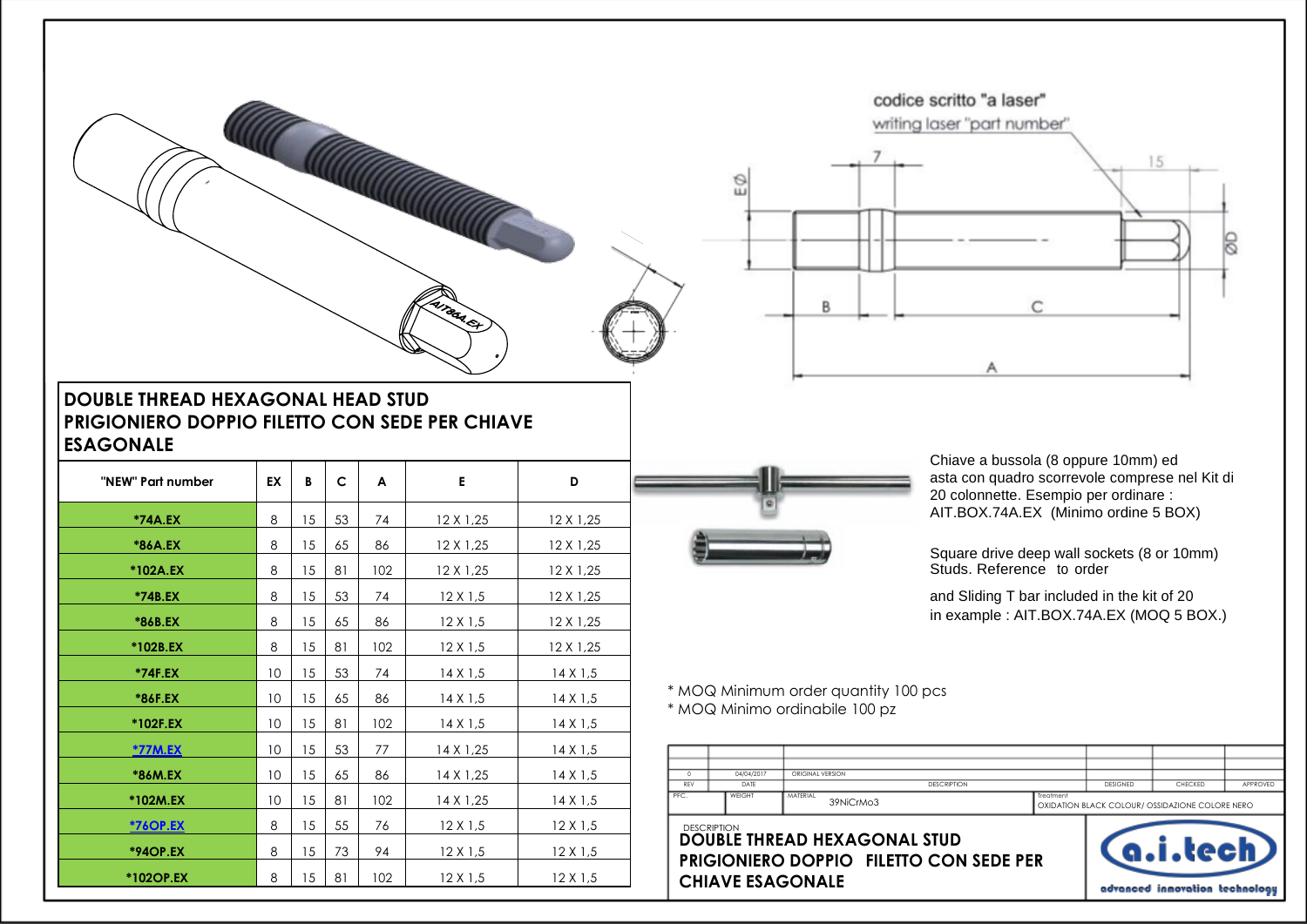



## **DOUBLE THREAD HEXAGONAL HEAD STUD PRIGIONIERO DOPPIO FILETTO CON SEDE PER CHIAVE ESAGONALE**

| "NEW" Part number             | EX | B  | c  | A   | E               | D               |
|-------------------------------|----|----|----|-----|-----------------|-----------------|
| *74A.EX                       | 8  | 15 | 53 | 74  | 12 X 1,25       | 12 X 1,25       |
| *86A.EX                       | 8  | 15 | 65 | 86  | 12 X 1,25       | 12 X 1,25       |
| *102A.EX                      | 8  | 15 | 81 | 102 | 12 X 1,25       | 12 X 1,25       |
| *74B.EX                       | 8  | 15 | 53 | 74  | $12 \times 1.5$ | 12 X 1,25       |
| *86B.EX                       | 8  | 15 | 65 | 86  | $12 \times 1.5$ | 12 X 1,25       |
| *102B.EX                      | 8  | 15 | 81 | 102 | $12 \times 1.5$ | 12 X 1,25       |
| *74F.EX                       | 10 | 15 | 53 | 74  | $14 \times 1.5$ | $14 \times 1.5$ |
| *86F.EX                       | 10 | 15 | 65 | 86  | $14 \times 1.5$ | $14 \times 1.5$ |
| *102F.EX                      | 10 | 15 | 81 | 102 | $14 \times 1.5$ | $14 \times 1.5$ |
| <b>*77M.EX</b>                | 10 | 15 | 53 | 77  | 14 X 1,25       | $14 \times 1.5$ |
| *86M.EX                       | 10 | 15 | 65 | 86  | 14 X 1,25       | $14 \times 1.5$ |
| *102M.EX                      | 10 | 15 | 81 | 102 | 14 X 1,25       | $14 \times 1.5$ |
| <u><i><b>*760P.EX</b></i></u> | 8  | 15 | 55 | 76  | $12 \times 1.5$ | $12 \times 1.5$ |
| <b>*94OP.EX</b>               | 8  | 15 | 73 | 94  | $12 \times 1.5$ | $12 \times 1.5$ |
| *102OP.EX                     | 8  | 15 | 81 | 102 | $12 \times 1.5$ | $12 \times 1.5$ |



Chiave a bussola (8 oppure 10mm) ed asta con quadro scorrevole comprese nel Kit di 20 colonnette. Esempio per ordinare : AIT.BOX.74A.EX (Minimo ordine 5 BOX)

Studs. Reference to order Square drive deep wall sockets (8 or 10mm)

and Sliding T bar included in the kit of 20 in example : AIT.BOX.74A.EX (MOQ 5 BOX.)

\* MOQ Minimum order quantity 100 pcs \* MOQ Minimo ordinabile 100 pz

|      | 04/04/2017         | ORIGINAL VERSION      |                    |           |                 |                                                 |          |
|------|--------------------|-----------------------|--------------------|-----------|-----------------|-------------------------------------------------|----------|
| REV  | DATE               |                       | <b>DESCRIPTION</b> |           | <b>DESIGNED</b> | CHECKED                                         | APPROVED |
| PFC. | WEIGHT             | MATERIAL<br>39NiCrMo3 |                    | Treatment |                 | OXIDATION BLACK COLOUR/ OSSIDAZIONE COLORE NERO |          |
|      | <b>DESCRIPTION</b> |                       |                    |           |                 |                                                 |          |

**PRIGIONIERO DOPPIO FILETTO CON SEDE PER CHIAVE ESAGONALE DESCRIPTION**<br>DOUBLE THREAD HEXAGONAL STUD

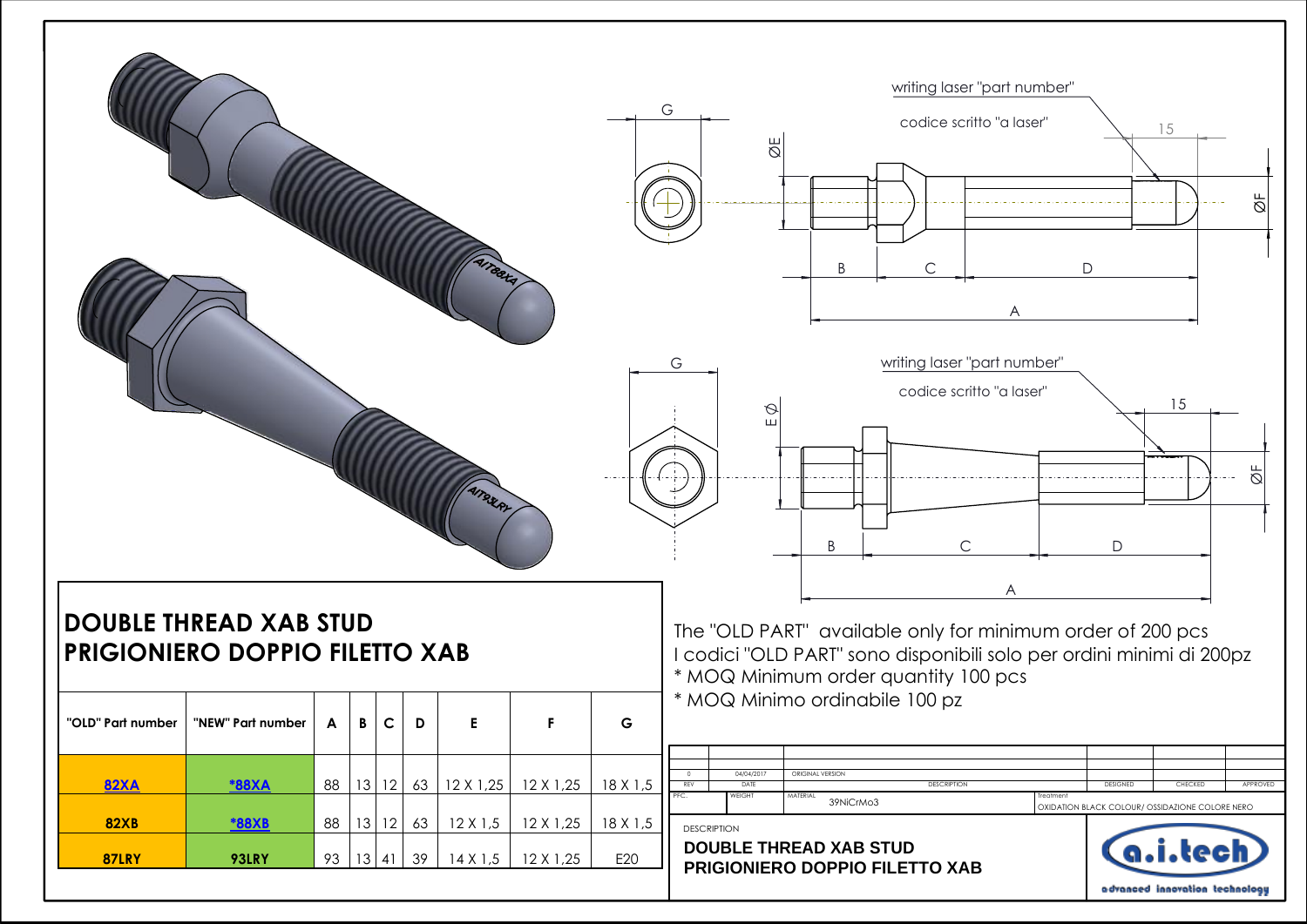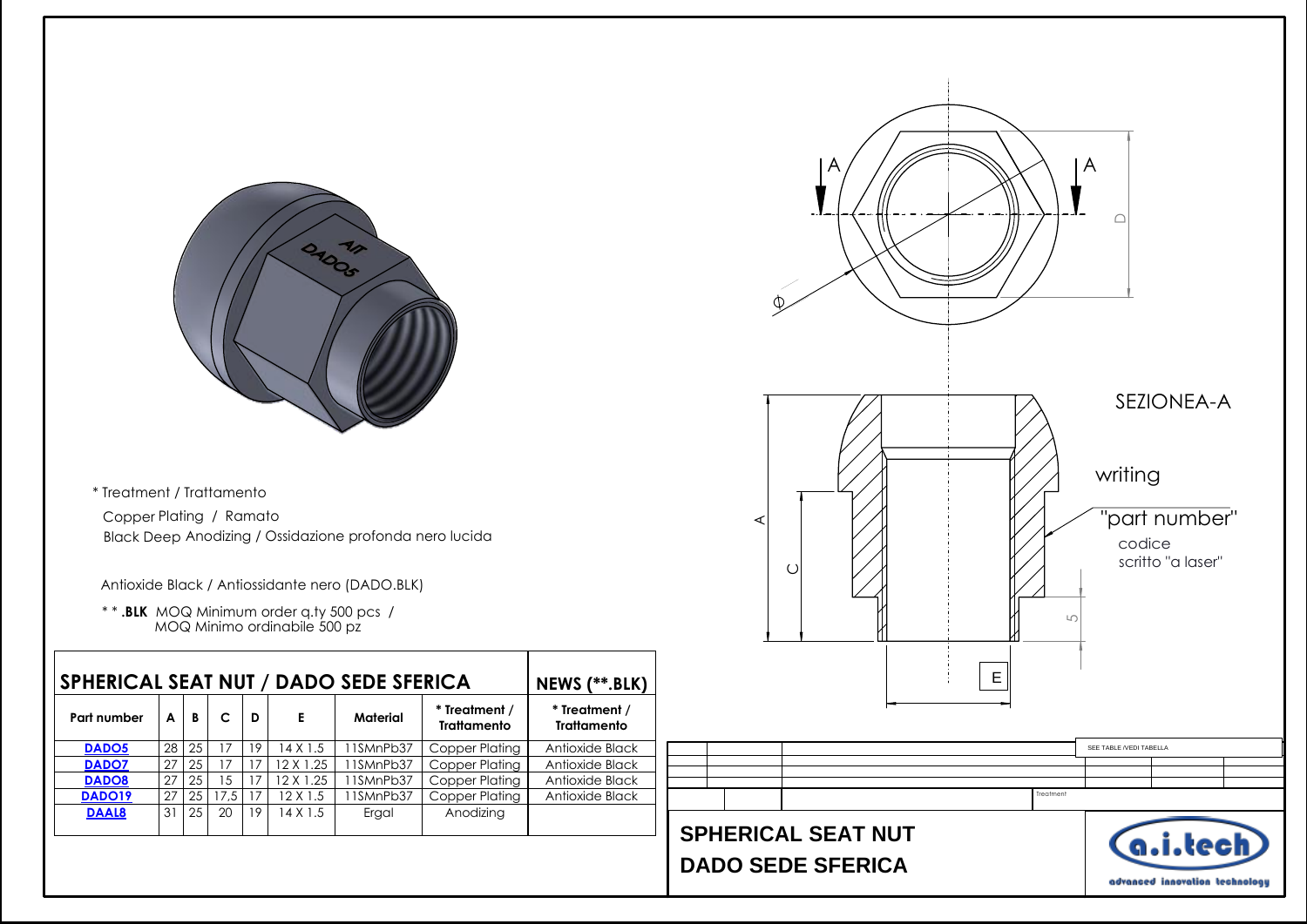

 Black Deep Anodizing / Ossidazione profonda nero lucida Copper Plating / Ramato \* Treatment / Trattamento

Antioxide Black / Antiossidante nero (DADO.BLK)

 \* \* **.BLK** MOQ Minimum order q.ty 500 pcs / MOQ Minimo ordinabile 500 pz

|              | <b>SPHERICAL SEAT NUT / DADO SEDE SFERICA</b> |    |                |    |           |                                                 |                |                                     |  |  |  |
|--------------|-----------------------------------------------|----|----------------|----|-----------|-------------------------------------------------|----------------|-------------------------------------|--|--|--|
| Part number  | A                                             | B  | c              | D  | Е         | * Treatment /<br>Material<br><b>Trattamento</b> |                | * Treatment /<br><b>Trattamento</b> |  |  |  |
| <b>DADO5</b> | 28                                            | 25 | 17             | 19 | 4 X 1.5   | 11SMnPb37                                       | Copper Plating | Antioxide Black                     |  |  |  |
| <b>DADO7</b> | 27                                            | 25 | 17             | 17 | 12 X 1.25 | 11SMnPb37                                       | Copper Plating | Antioxide Black                     |  |  |  |
| <b>DADO8</b> | 27                                            | 25 | $\overline{5}$ | 17 | 2 X 1.25  | 11SMnPb37                                       | Copper Plating | Antioxide Black                     |  |  |  |
| DADO19       | 27                                            | 25 | 17.5           | 17 | 12 X 1.5  | IISMnPb37                                       | Copper Plating | Antioxide Black                     |  |  |  |
| <b>DAAL8</b> | 31                                            | 25 | 20             | 19 | 4 X 1.5   | Ergal                                           | Anodizing      |                                     |  |  |  |
|              |                                               |    |                |    |           |                                                 |                |                                     |  |  |  |

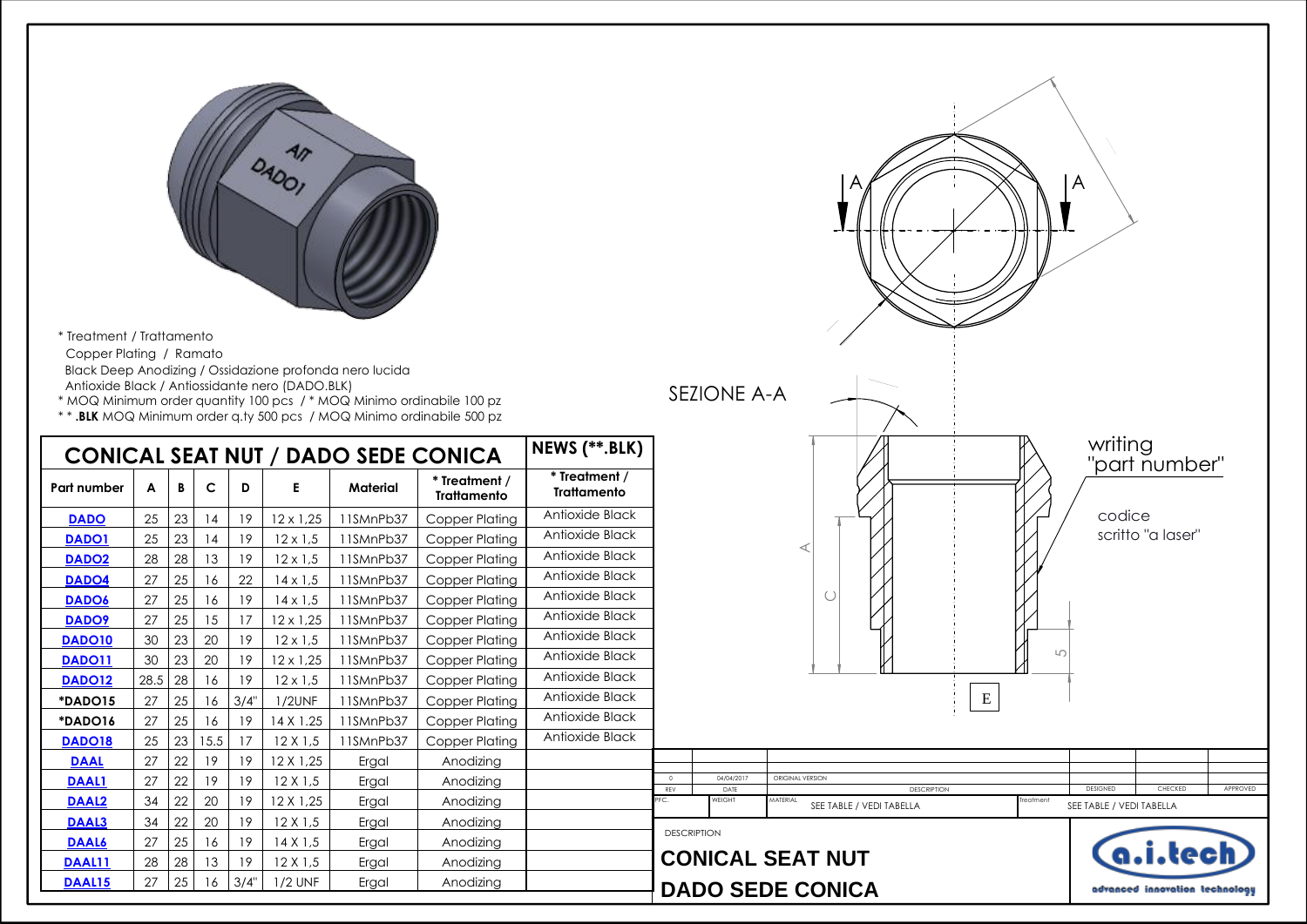

\* Treatment / Trattamento Copper Plating / Ramato Black Deep Anodizing / Ossidazione profonda nero lucida

Antioxide Black / Antiossidante nero (DADO.BLK)

\* MOQ Minimum order quantity 100 pcs / \* MOQ Minimo ordinabile 100 pz

\* \* **.BLK** MOQ Minimum order q.ty 500 pcs / MOQ Minimo ordinabile 500 pz

|                    |      |    |      |      |                  |           | <b>CONICAL SEAT NUT / DADO SEDE CONICA</b> | NEWS (**.BLK)                       |                 |                    |                                       |
|--------------------|------|----|------|------|------------------|-----------|--------------------------------------------|-------------------------------------|-----------------|--------------------|---------------------------------------|
| Part number        | A    | В  | c    | D    | Е                | Material  | * Treatment /<br><b>Trattamento</b>        | * Treatment /<br><b>Trattamento</b> |                 |                    |                                       |
| <b>DADO</b>        | 25   | 23 | 14   | 19   | $12 \times 1,25$ | 11SMnPb37 | Copper Plating                             | Antioxide Black                     |                 |                    |                                       |
| <b>DADO1</b>       | 25   | 23 | 14   | 19   | $12 \times 1.5$  | 11SMnPb37 | Copper Plating                             | Antioxide Black                     |                 |                    | ◁                                     |
| DADO <sub>2</sub>  | 28   | 28 | 13   | 19   | $12 \times 1.5$  | 11SMnPb37 | Copper Plating                             | Antioxide Black                     |                 |                    |                                       |
| DADO4              | 27   | 25 | 16   | 22   | $14 \times 1.5$  | 11SMnPb37 | Copper Plating                             | Antioxide Black                     |                 |                    |                                       |
| <b>DADO6</b>       | 27   | 25 | 16   | 19   | $14 \times 1.5$  | 11SMnPb37 | Copper Plating                             | Antioxide Black                     |                 |                    | $\cup$                                |
| <b>DADO9</b>       | 27   | 25 | 15   | 17   | $12 \times 1,25$ | 11SMnPb37 | Copper Plating                             | Antioxide Black                     |                 |                    |                                       |
| DADO <sub>10</sub> | 30   | 23 | 20   | 19   | $12 \times 1.5$  | 11SMnPb37 | Copper Plating                             | Antioxide Black                     |                 |                    |                                       |
| <b>DADO11</b>      | 30   | 23 | 20   | 19   | $12 \times 1.25$ | 11SMnPb37 | Copper Plating                             | Antioxide Black                     |                 |                    |                                       |
| DADO12             | 28.5 | 28 | 16   | 19   | $12 \times 1.5$  | 11SMnPb37 | Copper Plating                             | Antioxide Black                     |                 |                    |                                       |
| *DADO15            | 27   | 25 | 16   | 3/4" | <b>1/2UNF</b>    | 11SMnPb37 | Copper Plating                             | Antioxide Black                     |                 |                    |                                       |
| *DADO16            | 27   | 25 | 16   | 19   | 14 X 1.25        | 11SMnPb37 | Copper Plating                             | Antioxide Black                     |                 |                    |                                       |
| <b>DADO18</b>      | 25   | 23 | 15.5 | 17   | $12 \times 1.5$  | 11SMnPb37 | Copper Plating                             | Antioxide Black                     |                 |                    |                                       |
| <b>DAAL</b>        | 27   | 22 | 19   | 19   | 12 X 1,25        | Ergal     | Anodizing                                  |                                     |                 |                    |                                       |
| <b>DAAL1</b>       | 27   | 22 | 19   | 19   | $12 \times 1.5$  | Ergal     | Anodizing                                  |                                     | $\Omega$<br>REV | 04/04/2017<br>DATE | ORIGINAL VERSION<br><b>DESCRIPTIO</b> |
| DAAL <sub>2</sub>  | 34   | 22 | 20   | 19   | 12 X 1,25        | Ergal     | Anodizina                                  |                                     | PFC.            | WEIGHT             | MATERIAL<br>SEE TABLE / VEDI TABELLA  |
| <b>DAAL3</b>       | 34   | 22 | 20   | 19   | $12 \times 1.5$  | Ergal     | Anodizina                                  |                                     |                 |                    |                                       |
| <b>DAAL6</b>       | 27   | 25 | 16   | 19   | 14 X 1,5         | Ergal     | Anodizina                                  |                                     |                 | <b>DESCRIPTION</b> |                                       |
| DAAL11             | 28   | 28 | 13   | 19   | $12 \times 1.5$  | Ergal     | Anodizing                                  |                                     |                 |                    | <b>CONICAL SEAT NUT</b>               |
| DAAL15             | 27   | 25 | 16   | 3/4" | $1/2$ UNF        | Ergal     | Anodizing                                  |                                     |                 |                    | <b>DADO SEDE CONICA</b>               |